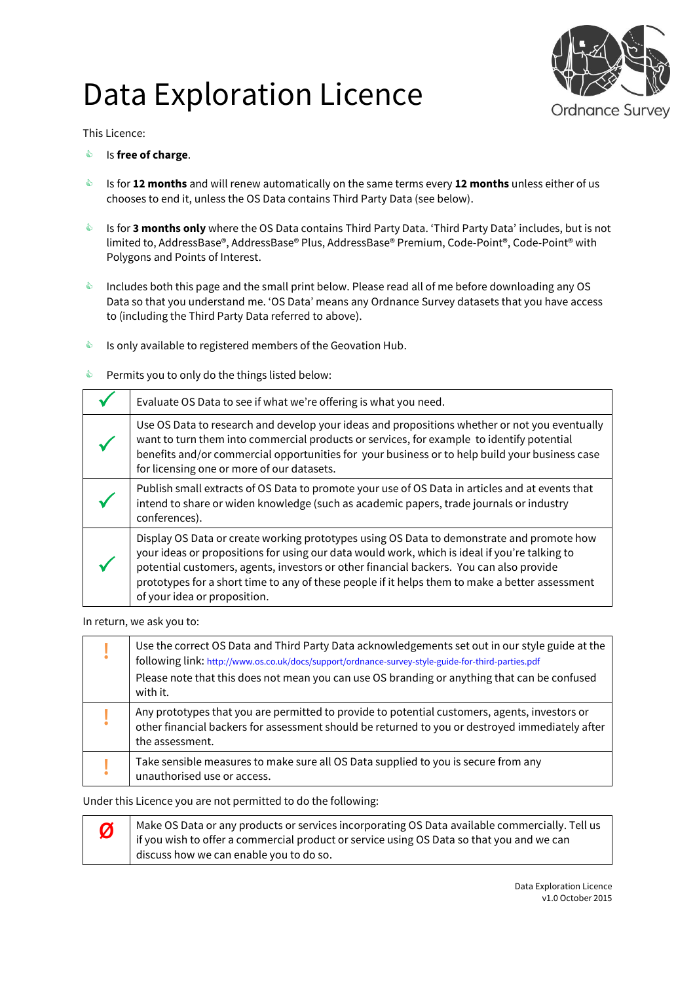# Data Exploration Licence



This Licence:

- Is **free of charge**.
- Is for **12 months** and will renew automatically on the same terms every **12 months** unless either of us chooses to end it, unless the OS Data contains Third Party Data (see below).
- **Is for 3 months only** where the OS Data contains Third Party Data. 'Third Party Data' includes, but is not limited to, AddressBase®, AddressBase® Plus, AddressBase® Premium, Code-Point®, Code-Point® with Polygons and Points of Interest.
- Includes both this page and the small print below. Please read all of me before downloading any OS Data so that you understand me. 'OS Data' means any Ordnance Survey datasets that you have access to (including the Third Party Data referred to above).
- $\bullet$  Is only available to registered members of the Geovation Hub.
- **EXECUTE:** Permits you to only do the things listed below:

| Evaluate OS Data to see if what we're offering is what you need.                                                                                                                                                                                                                                                                                                                                                         |
|--------------------------------------------------------------------------------------------------------------------------------------------------------------------------------------------------------------------------------------------------------------------------------------------------------------------------------------------------------------------------------------------------------------------------|
| Use OS Data to research and develop your ideas and propositions whether or not you eventually<br>want to turn them into commercial products or services, for example to identify potential<br>benefits and/or commercial opportunities for your business or to help build your business case<br>for licensing one or more of our datasets.                                                                               |
| Publish small extracts of OS Data to promote your use of OS Data in articles and at events that<br>intend to share or widen knowledge (such as academic papers, trade journals or industry<br>conferences).                                                                                                                                                                                                              |
| Display OS Data or create working prototypes using OS Data to demonstrate and promote how<br>your ideas or propositions for using our data would work, which is ideal if you're talking to<br>potential customers, agents, investors or other financial backers. You can also provide<br>prototypes for a short time to any of these people if it helps them to make a better assessment<br>of your idea or proposition. |

In return, we ask you to:

| Use the correct OS Data and Third Party Data acknowledgements set out in our style guide at the<br>following link: http://www.os.co.uk/docs/support/ordnance-survey-style-guide-for-third-parties.pdf<br>Please note that this does not mean you can use OS branding or anything that can be confused<br>with it. |
|-------------------------------------------------------------------------------------------------------------------------------------------------------------------------------------------------------------------------------------------------------------------------------------------------------------------|
| Any prototypes that you are permitted to provide to potential customers, agents, investors or<br>other financial backers for assessment should be returned to you or destroyed immediately after<br>the assessment.                                                                                               |
| Take sensible measures to make sure all OS Data supplied to you is secure from any<br>unauthorised use or access.                                                                                                                                                                                                 |

Under this Licence you are not permitted to do the following:

**Ø** Make OS Data or any products or services incorporating OS Data available commercially. Tell us if you wish to offer a commercial product or service using OS Data so that you and we can discuss how we can enable you to do so.